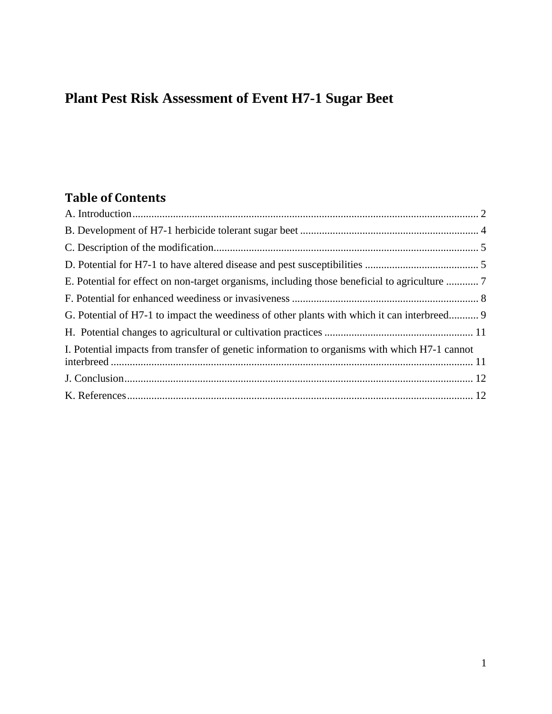# **Plant Pest Risk Assessment of Event H7-1 Sugar Beet**

# **Table of Contents**

| E. Potential for effect on non-target organisms, including those beneficial to agriculture    |  |
|-----------------------------------------------------------------------------------------------|--|
|                                                                                               |  |
| G. Potential of H7-1 to impact the weediness of other plants with which it can interbreed     |  |
|                                                                                               |  |
| I. Potential impacts from transfer of genetic information to organisms with which H7-1 cannot |  |
|                                                                                               |  |
|                                                                                               |  |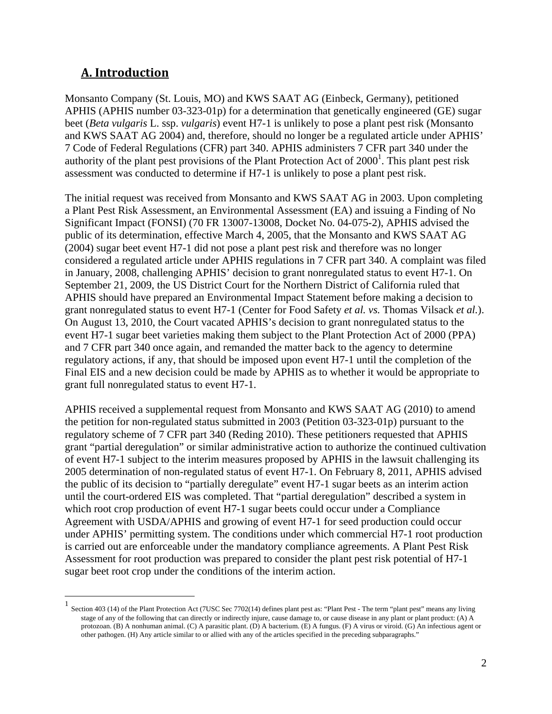## **A. Introduction**

Monsanto Company (St. Louis, MO) and KWS SAAT AG (Einbeck, Germany), petitioned APHIS (APHIS number 03-323-01p) for a determination that genetically engineered (GE) sugar beet (*Beta vulgaris* L. ssp. *vulgaris*) event H7-1 is unlikely to pose a plant pest risk (Monsanto and KWS SAAT AG 2004) and, therefore, should no longer be a regulated article under APHIS' 7 Code of Federal Regulations (CFR) part 340. APHIS administers 7 CFR part 340 under the authority of the plant pest provisions of the Plant Protection Act of  $2000<sup>1</sup>$ . This plant pest risk assessment was conducted to determine if H7-1 is unlikely to pose a plant pest risk.

The initial request was received from Monsanto and KWS SAAT AG in 2003. Upon completing a Plant Pest Risk Assessment, an Environmental Assessment (EA) and issuing a Finding of No Significant Impact (FONSI) (70 FR 13007-13008, Docket No. 04-075-2), APHIS advised the public of its determination, effective March 4, 2005, that the Monsanto and KWS SAAT AG (2004) sugar beet event H7-1 did not pose a plant pest risk and therefore was no longer considered a regulated article under APHIS regulations in 7 CFR part 340. A complaint was filed in January, 2008, challenging APHIS' decision to grant nonregulated status to event H7-1. On September 21, 2009, the US District Court for the Northern District of California ruled that APHIS should have prepared an Environmental Impact Statement before making a decision to grant nonregulated status to event H7-1 (Center for Food Safety *et al. vs.* Thomas Vilsack *et al.*). On August 13, 2010, the Court vacated APHIS's decision to grant nonregulated status to the event H7-1 sugar beet varieties making them subject to the Plant Protection Act of 2000 (PPA) and 7 CFR part 340 once again, and remanded the matter back to the agency to determine regulatory actions, if any, that should be imposed upon event H7-1 until the completion of the Final EIS and a new decision could be made by APHIS as to whether it would be appropriate to grant full nonregulated status to event H7-1.

APHIS received a supplemental request from Monsanto and KWS SAAT AG (2010) to amend the petition for non-regulated status submitted in 2003 (Petition 03-323-01p) pursuant to the regulatory scheme of 7 CFR part 340 (Reding 2010). These petitioners requested that APHIS grant "partial deregulation" or similar administrative action to authorize the continued cultivation of event H7-1 subject to the interim measures proposed by APHIS in the lawsuit challenging its 2005 determination of non-regulated status of event H7-1. On February 8, 2011, APHIS advised the public of its decision to "partially deregulate" event H7-1 sugar beets as an interim action until the court-ordered EIS was completed. That "partial deregulation" described a system in which root crop production of event H7-1 sugar beets could occur under a Compliance Agreement with USDA/APHIS and growing of event H7-1 for seed production could occur under APHIS' permitting system. The conditions under which commercial H7-1 root production is carried out are enforceable under the mandatory compliance agreements. A Plant Pest Risk Assessment for root production was prepared to consider the plant pest risk potential of H7-1 sugar beet root crop under the conditions of the interim action.

<sup>1&</sup>lt;br><sup>1</sup> Section 403 (14) of the Plant Protection Act (7USC Sec 7702(14) defines plant pest as: "Plant Pest - The term "plant pest" means any living stage of any of the following that can directly or indirectly injure, cause damage to, or cause disease in any plant or plant product: (A) A protozoan. (B) A nonhuman animal. (C) A parasitic plant. (D) A bacterium. (E) A fungus. (F) A virus or viroid. (G) An infectious agent or other pathogen. (H) Any article similar to or allied with any of the articles specified in the preceding subparagraphs."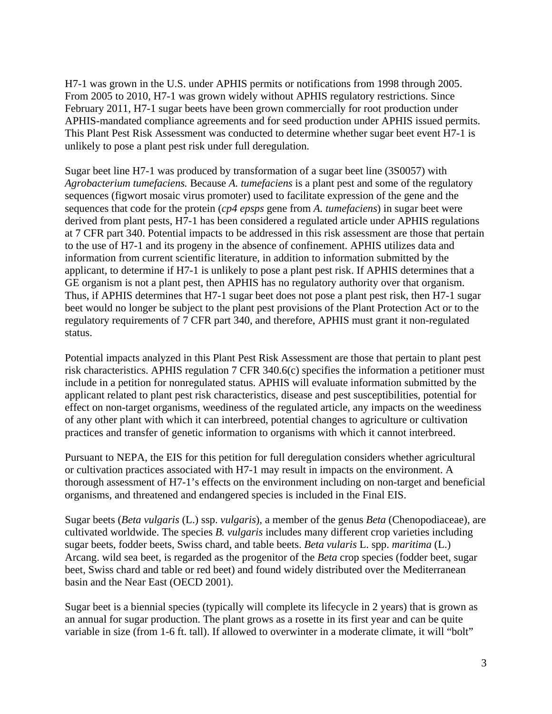H7-1 was grown in the U.S. under APHIS permits or notifications from 1998 through 2005. From 2005 to 2010, H7-1 was grown widely without APHIS regulatory restrictions. Since February 2011, H7-1 sugar beets have been grown commercially for root production under APHIS-mandated compliance agreements and for seed production under APHIS issued permits. This Plant Pest Risk Assessment was conducted to determine whether sugar beet event H7-1 is unlikely to pose a plant pest risk under full deregulation.

Sugar beet line H7-1 was produced by transformation of a sugar beet line (3S0057) with *Agrobacterium tumefaciens.* Because *A. tumefaciens* is a plant pest and some of the regulatory sequences (figwort mosaic virus promoter) used to facilitate expression of the gene and the sequences that code for the protein (*cp4 epsps* gene from *A. tumefaciens*) in sugar beet were derived from plant pests, H7-1 has been considered a regulated article under APHIS regulations at 7 CFR part 340. Potential impacts to be addressed in this risk assessment are those that pertain to the use of H7-1 and its progeny in the absence of confinement. APHIS utilizes data and information from current scientific literature, in addition to information submitted by the applicant, to determine if H7-1 is unlikely to pose a plant pest risk. If APHIS determines that a GE organism is not a plant pest, then APHIS has no regulatory authority over that organism. Thus, if APHIS determines that H7-1 sugar beet does not pose a plant pest risk, then H7-1 sugar beet would no longer be subject to the plant pest provisions of the Plant Protection Act or to the regulatory requirements of 7 CFR part 340, and therefore, APHIS must grant it non-regulated status.

Potential impacts analyzed in this Plant Pest Risk Assessment are those that pertain to plant pest risk characteristics. APHIS regulation 7 CFR 340.6(c) specifies the information a petitioner must include in a petition for nonregulated status. APHIS will evaluate information submitted by the applicant related to plant pest risk characteristics, disease and pest susceptibilities, potential for effect on non-target organisms, weediness of the regulated article, any impacts on the weediness of any other plant with which it can interbreed, potential changes to agriculture or cultivation practices and transfer of genetic information to organisms with which it cannot interbreed.

Pursuant to NEPA, the EIS for this petition for full deregulation considers whether agricultural or cultivation practices associated with H7-1 may result in impacts on the environment. A thorough assessment of H7-1's effects on the environment including on non-target and beneficial organisms, and threatened and endangered species is included in the Final EIS.

Sugar beets (*Beta vulgaris* (L.) ssp. *vulgaris*), a member of the genus *Beta* (Chenopodiaceae), are cultivated worldwide. The species *B. vulgaris* includes many different crop varieties including sugar beets, fodder beets, Swiss chard, and table beets. *Beta vularis* L. spp. *maritima* (L.) Arcang. wild sea beet, is regarded as the progenitor of the *Beta* crop species (fodder beet, sugar beet, Swiss chard and table or red beet) and found widely distributed over the Mediterranean basin and the Near East (OECD 2001).

Sugar beet is a biennial species (typically will complete its lifecycle in 2 years) that is grown as an annual for sugar production. The plant grows as a rosette in its first year and can be quite variable in size (from 1-6 ft. tall). If allowed to overwinter in a moderate climate, it will "bolt"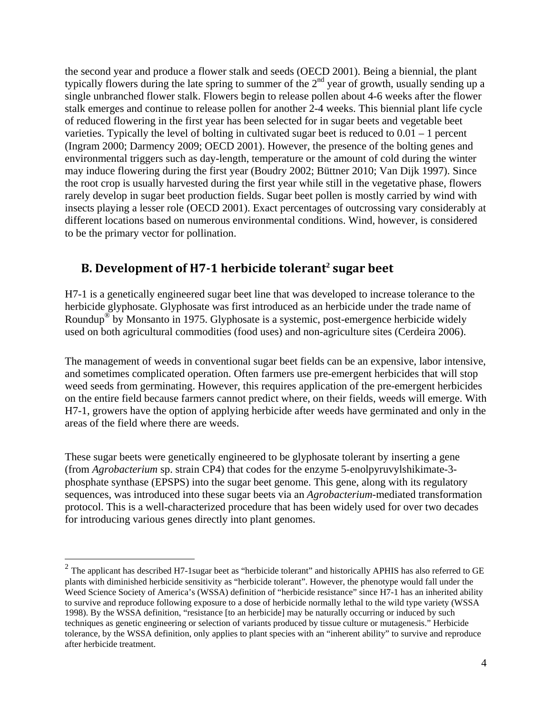the second year and produce a flower stalk and seeds (OECD 2001). Being a biennial, the plant typically flowers during the late spring to summer of the 2<sup>nd</sup> year of growth, usually sending up a single unbranched flower stalk. Flowers begin to release pollen about 4-6 weeks after the flower stalk emerges and continue to release pollen for another 2-4 weeks. This biennial plant life cycle of reduced flowering in the first year has been selected for in sugar beets and vegetable beet varieties. Typically the level of bolting in cultivated sugar beet is reduced to 0.01 – 1 percent (Ingram 2000; Darmency 2009; OECD 2001). However, the presence of the bolting genes and environmental triggers such as day-length, temperature or the amount of cold during the winter may induce flowering during the first year (Boudry 2002; Büttner 2010; Van Dijk 1997). Since the root crop is usually harvested during the first year while still in the vegetative phase, flowers rarely develop in sugar beet production fields. Sugar beet pollen is mostly carried by wind with insects playing a lesser role (OECD 2001). Exact percentages of outcrossing vary considerably at different locations based on numerous environmental conditions. Wind, however, is considered to be the primary vector for pollination.

#### **B. Development of H7‐1 herbicide tolerant<sup>2</sup> sugar beet**

H7-1 is a genetically engineered sugar beet line that was developed to increase tolerance to the herbicide glyphosate. Glyphosate was first introduced as an herbicide under the trade name of Roundup® by Monsanto in 1975. Glyphosate is a systemic, post-emergence herbicide widely used on both agricultural commodities (food uses) and non-agriculture sites (Cerdeira 2006).

The management of weeds in conventional sugar beet fields can be an expensive, labor intensive, and sometimes complicated operation. Often farmers use pre-emergent herbicides that will stop weed seeds from germinating. However, this requires application of the pre-emergent herbicides on the entire field because farmers cannot predict where, on their fields, weeds will emerge. With H7-1, growers have the option of applying herbicide after weeds have germinated and only in the areas of the field where there are weeds.

These sugar beets were genetically engineered to be glyphosate tolerant by inserting a gene (from *Agrobacterium* sp. strain CP4) that codes for the enzyme 5-enolpyruvylshikimate-3 phosphate synthase (EPSPS) into the sugar beet genome. This gene, along with its regulatory sequences, was introduced into these sugar beets via an *Agrobacterium*-mediated transformation protocol. This is a well-characterized procedure that has been widely used for over two decades for introducing various genes directly into plant genomes.

 $\overline{a}$ 

 $2$  The applicant has described H7-1sugar beet as "herbicide tolerant" and historically APHIS has also referred to GE plants with diminished herbicide sensitivity as "herbicide tolerant". However, the phenotype would fall under the Weed Science Society of America's (WSSA) definition of "herbicide resistance" since H7-1 has an inherited ability to survive and reproduce following exposure to a dose of herbicide normally lethal to the wild type variety (WSSA 1998). By the WSSA definition, "resistance [to an herbicide] may be naturally occurring or induced by such techniques as genetic engineering or selection of variants produced by tissue culture or mutagenesis." Herbicide tolerance, by the WSSA definition, only applies to plant species with an "inherent ability" to survive and reproduce after herbicide treatment.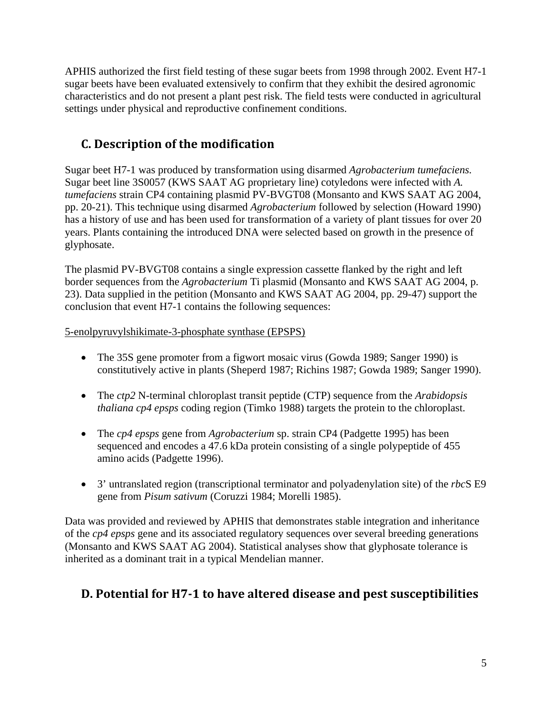APHIS authorized the first field testing of these sugar beets from 1998 through 2002. Event H7-1 sugar beets have been evaluated extensively to confirm that they exhibit the desired agronomic characteristics and do not present a plant pest risk. The field tests were conducted in agricultural settings under physical and reproductive confinement conditions.

# **C. Description of the modification**

Sugar beet H7-1 was produced by transformation using disarmed *Agrobacterium tumefaciens.* Sugar beet line 3S0057 (KWS SAAT AG proprietary line) cotyledons were infected with *A. tumefaciens* strain CP4 containing plasmid PV-BVGT08 (Monsanto and KWS SAAT AG 2004, pp. 20-21). This technique using disarmed *Agrobacterium* followed by selection (Howard 1990) has a history of use and has been used for transformation of a variety of plant tissues for over 20 years. Plants containing the introduced DNA were selected based on growth in the presence of glyphosate.

The plasmid PV-BVGT08 contains a single expression cassette flanked by the right and left border sequences from the *Agrobacterium* Ti plasmid (Monsanto and KWS SAAT AG 2004, p. 23). Data supplied in the petition (Monsanto and KWS SAAT AG 2004, pp. 29-47) support the conclusion that event H7-1 contains the following sequences:

5-enolpyruvylshikimate-3-phosphate synthase (EPSPS)

- The 35S gene promoter from a figwort mosaic virus (Gowda 1989; Sanger 1990) is constitutively active in plants (Sheperd 1987; Richins 1987; Gowda 1989; Sanger 1990).
- The *ctp2* N-terminal chloroplast transit peptide (CTP) sequence from the *Arabidopsis thaliana cp4 epsps* coding region (Timko 1988) targets the protein to the chloroplast.
- The *cp4 epsps* gene from *Agrobacterium* sp. strain CP4 (Padgette 1995) has been sequenced and encodes a 47.6 kDa protein consisting of a single polypeptide of 455 amino acids (Padgette 1996).
- 3' untranslated region (transcriptional terminator and polyadenylation site) of the *rbc*S E9 gene from *Pisum sativum* (Coruzzi 1984; Morelli 1985).

Data was provided and reviewed by APHIS that demonstrates stable integration and inheritance of the *cp4 epsps* gene and its associated regulatory sequences over several breeding generations (Monsanto and KWS SAAT AG 2004). Statistical analyses show that glyphosate tolerance is inherited as a dominant trait in a typical Mendelian manner.

# **D. Potential for H7‐1 to have altered disease and pest susceptibilities**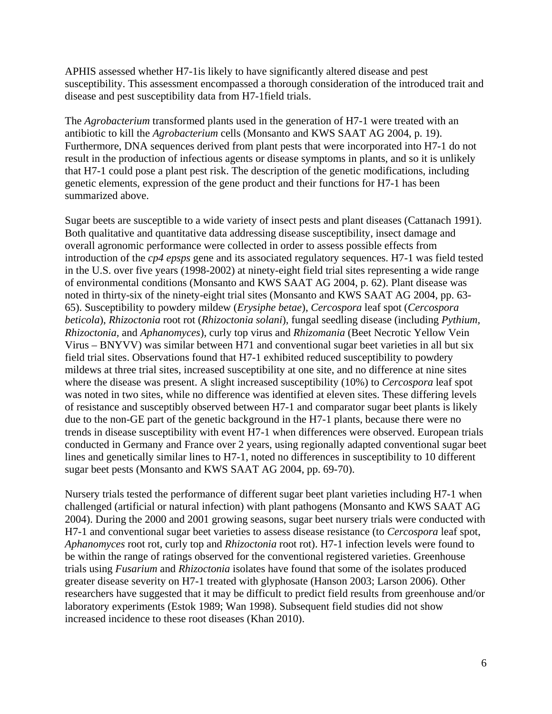APHIS assessed whether H7-1is likely to have significantly altered disease and pest susceptibility. This assessment encompassed a thorough consideration of the introduced trait and disease and pest susceptibility data from H7-1field trials.

The *Agrobacterium* transformed plants used in the generation of H7-1 were treated with an antibiotic to kill the *Agrobacterium* cells (Monsanto and KWS SAAT AG 2004, p. 19). Furthermore, DNA sequences derived from plant pests that were incorporated into H7-1 do not result in the production of infectious agents or disease symptoms in plants, and so it is unlikely that H7-1 could pose a plant pest risk. The description of the genetic modifications, including genetic elements, expression of the gene product and their functions for H7-1 has been summarized above.

Sugar beets are susceptible to a wide variety of insect pests and plant diseases (Cattanach 1991). Both qualitative and quantitative data addressing disease susceptibility, insect damage and overall agronomic performance were collected in order to assess possible effects from introduction of the *cp4 epsps* gene and its associated regulatory sequences. H7-1 was field tested in the U.S. over five years (1998-2002) at ninety-eight field trial sites representing a wide range of environmental conditions (Monsanto and KWS SAAT AG 2004, p. 62). Plant disease was noted in thirty-six of the ninety-eight trial sites (Monsanto and KWS SAAT AG 2004, pp. 63- 65). Susceptibility to powdery mildew (*Erysiphe betae*), *Cercospora* leaf spot (*Cercospora beticola*), *Rhizoctonia* root rot (*Rhizoctonia solani*), fungal seedling disease (including *Pythium, Rhizoctonia,* and *Aphanomyces*), curly top virus and *Rhizomania* (Beet Necrotic Yellow Vein Virus – BNYVV) was similar between H71 and conventional sugar beet varieties in all but six field trial sites. Observations found that H7-1 exhibited reduced susceptibility to powdery mildews at three trial sites, increased susceptibility at one site, and no difference at nine sites where the disease was present. A slight increased susceptibility (10%) to *Cercospora* leaf spot was noted in two sites, while no difference was identified at eleven sites. These differing levels of resistance and susceptibly observed between H7-1 and comparator sugar beet plants is likely due to the non-GE part of the genetic background in the H7-1 plants, because there were no trends in disease susceptibility with event H7-1 when differences were observed. European trials conducted in Germany and France over 2 years, using regionally adapted conventional sugar beet lines and genetically similar lines to H7-1, noted no differences in susceptibility to 10 different sugar beet pests (Monsanto and KWS SAAT AG 2004, pp. 69-70).

Nursery trials tested the performance of different sugar beet plant varieties including H7-1 when challenged (artificial or natural infection) with plant pathogens (Monsanto and KWS SAAT AG 2004). During the 2000 and 2001 growing seasons, sugar beet nursery trials were conducted with H7-1 and conventional sugar beet varieties to assess disease resistance (to *Cercospora* leaf spot, *Aphanomyces* root rot, curly top and *Rhizoctonia* root rot). H7-1 infection levels were found to be within the range of ratings observed for the conventional registered varieties. Greenhouse trials using *Fusarium* and *Rhizoctonia* isolates have found that some of the isolates produced greater disease severity on H7-1 treated with glyphosate (Hanson 2003; Larson 2006). Other researchers have suggested that it may be difficult to predict field results from greenhouse and/or laboratory experiments (Estok 1989; Wan 1998). Subsequent field studies did not show increased incidence to these root diseases (Khan 2010).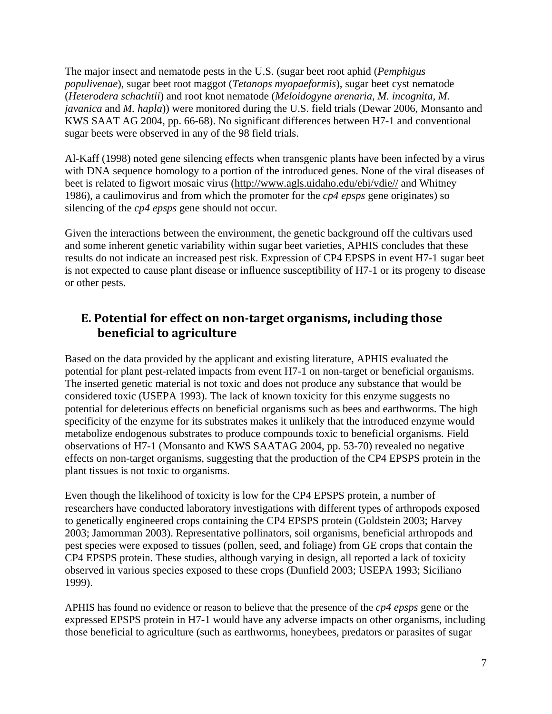The major insect and nematode pests in the U.S. (sugar beet root aphid (*Pemphigus populivenae*), sugar beet root maggot (*Tetanops myopaeformis*), sugar beet cyst nematode (*Heterodera schachtii*) and root knot nematode (*Meloidogyne arenaria, M. incognita, M. javanica* and *M. hapla*)) were monitored during the U.S. field trials (Dewar 2006, Monsanto and KWS SAAT AG 2004, pp. 66-68). No significant differences between H7-1 and conventional sugar beets were observed in any of the 98 field trials.

Al-Kaff (1998) noted gene silencing effects when transgenic plants have been infected by a virus with DNA sequence homology to a portion of the introduced genes. None of the viral diseases of beet is related to figwort mosaic virus (http://www.agls.uidaho.edu/ebi/vdie// and Whitney 1986), a caulimovirus and from which the promoter for the *cp4 epsps* gene originates) so silencing of the *cp4 epsps* gene should not occur.

Given the interactions between the environment, the genetic background off the cultivars used and some inherent genetic variability within sugar beet varieties, APHIS concludes that these results do not indicate an increased pest risk. Expression of CP4 EPSPS in event H7-1 sugar beet is not expected to cause plant disease or influence susceptibility of H7-1 or its progeny to disease or other pests.

## **E. Potential for effect on non‐target organisms, including those beneficial to agriculture**

Based on the data provided by the applicant and existing literature, APHIS evaluated the potential for plant pest-related impacts from event H7-1 on non-target or beneficial organisms. The inserted genetic material is not toxic and does not produce any substance that would be considered toxic (USEPA 1993). The lack of known toxicity for this enzyme suggests no potential for deleterious effects on beneficial organisms such as bees and earthworms. The high specificity of the enzyme for its substrates makes it unlikely that the introduced enzyme would metabolize endogenous substrates to produce compounds toxic to beneficial organisms. Field observations of H7-1 (Monsanto and KWS SAATAG 2004, pp. 53-70) revealed no negative effects on non-target organisms, suggesting that the production of the CP4 EPSPS protein in the plant tissues is not toxic to organisms.

Even though the likelihood of toxicity is low for the CP4 EPSPS protein, a number of researchers have conducted laboratory investigations with different types of arthropods exposed to genetically engineered crops containing the CP4 EPSPS protein (Goldstein 2003; Harvey 2003; Jamornman 2003). Representative pollinators, soil organisms, beneficial arthropods and pest species were exposed to tissues (pollen, seed, and foliage) from GE crops that contain the CP4 EPSPS protein. These studies, although varying in design, all reported a lack of toxicity observed in various species exposed to these crops (Dunfield 2003; USEPA 1993; Siciliano 1999).

APHIS has found no evidence or reason to believe that the presence of the *cp4 epsps* gene or the expressed EPSPS protein in H7-1 would have any adverse impacts on other organisms, including those beneficial to agriculture (such as earthworms, honeybees, predators or parasites of sugar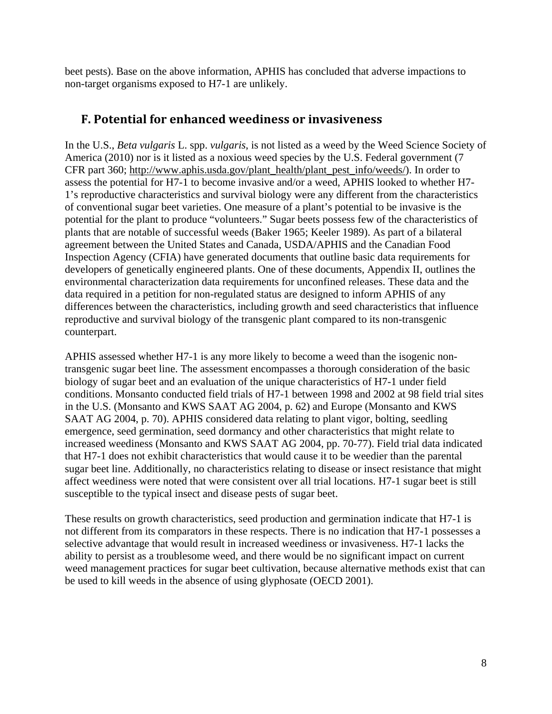beet pests). Base on the above information, APHIS has concluded that adverse impactions to non-target organisms exposed to H7-1 are unlikely.

#### **F. Potential for enhanced weediness or invasiveness**

In the U.S., *Beta vulgaris* L. spp. *vulgaris*, is not listed as a weed by the Weed Science Society of America (2010) nor is it listed as a noxious weed species by the U.S. Federal government (7 CFR part 360; http://www.aphis.usda.gov/plant\_health/plant\_pest\_info/weeds/). In order to assess the potential for H7-1 to become invasive and/or a weed, APHIS looked to whether H7- 1's reproductive characteristics and survival biology were any different from the characteristics of conventional sugar beet varieties. One measure of a plant's potential to be invasive is the potential for the plant to produce "volunteers." Sugar beets possess few of the characteristics of plants that are notable of successful weeds (Baker 1965; Keeler 1989). As part of a bilateral agreement between the United States and Canada, USDA/APHIS and the Canadian Food Inspection Agency (CFIA) have generated documents that outline basic data requirements for developers of genetically engineered plants. One of these documents, Appendix II, outlines the environmental characterization data requirements for unconfined releases. These data and the data required in a petition for non-regulated status are designed to inform APHIS of any differences between the characteristics, including growth and seed characteristics that influence reproductive and survival biology of the transgenic plant compared to its non-transgenic counterpart.

APHIS assessed whether H7-1 is any more likely to become a weed than the isogenic nontransgenic sugar beet line. The assessment encompasses a thorough consideration of the basic biology of sugar beet and an evaluation of the unique characteristics of H7-1 under field conditions. Monsanto conducted field trials of H7-1 between 1998 and 2002 at 98 field trial sites in the U.S. (Monsanto and KWS SAAT AG 2004, p. 62) and Europe (Monsanto and KWS SAAT AG 2004, p. 70). APHIS considered data relating to plant vigor, bolting, seedling emergence, seed germination, seed dormancy and other characteristics that might relate to increased weediness (Monsanto and KWS SAAT AG 2004, pp. 70-77). Field trial data indicated that H7-1 does not exhibit characteristics that would cause it to be weedier than the parental sugar beet line. Additionally, no characteristics relating to disease or insect resistance that might affect weediness were noted that were consistent over all trial locations. H7-1 sugar beet is still susceptible to the typical insect and disease pests of sugar beet.

These results on growth characteristics, seed production and germination indicate that H7-1 is not different from its comparators in these respects. There is no indication that H7-1 possesses a selective advantage that would result in increased weediness or invasiveness. H7-1 lacks the ability to persist as a troublesome weed, and there would be no significant impact on current weed management practices for sugar beet cultivation, because alternative methods exist that can be used to kill weeds in the absence of using glyphosate (OECD 2001).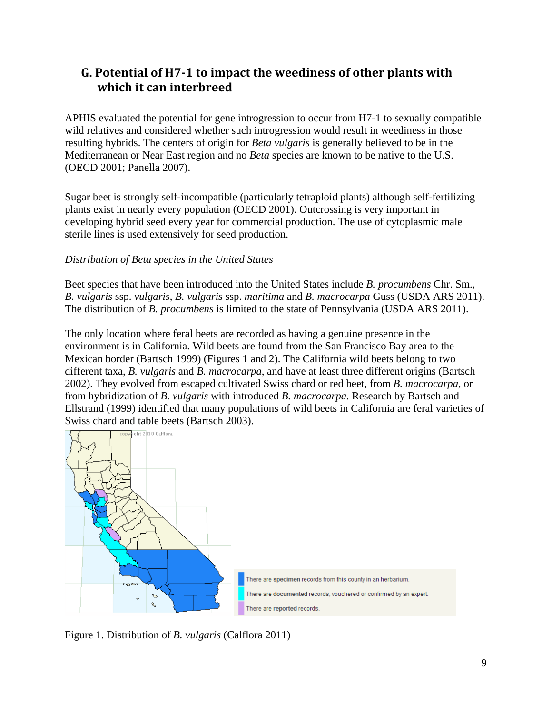## **G. Potential of H7‐1 to impact the weediness of other plants with which it can interbreed**

APHIS evaluated the potential for gene introgression to occur from H7-1 to sexually compatible wild relatives and considered whether such introgression would result in weediness in those resulting hybrids. The centers of origin for *Beta vulgaris* is generally believed to be in the Mediterranean or Near East region and no *Beta* species are known to be native to the U.S. (OECD 2001; Panella 2007).

Sugar beet is strongly self-incompatible (particularly tetraploid plants) although self-fertilizing plants exist in nearly every population (OECD 2001). Outcrossing is very important in developing hybrid seed every year for commercial production. The use of cytoplasmic male sterile lines is used extensively for seed production.

#### *Distribution of Beta species in the United States*

Beet species that have been introduced into the United States include *B. procumbens* Chr. Sm., *B. vulgaris* ssp. *vulgaris*, *B. vulgaris* ssp. *maritima* and *B. macrocarpa* Guss (USDA ARS 2011). The distribution of *B. procumbens* is limited to the state of Pennsylvania (USDA ARS 2011).

The only location where feral beets are recorded as having a genuine presence in the environment is in California. Wild beets are found from the San Francisco Bay area to the Mexican border (Bartsch 1999) (Figures 1 and 2). The California wild beets belong to two different taxa, *B. vulgaris* and *B. macrocarpa*, and have at least three different origins (Bartsch 2002). They evolved from escaped cultivated Swiss chard or red beet, from *B. macrocarpa*, or from hybridization of *B. vulgaris* with introduced *B. macrocarpa.* Research by Bartsch and Ellstrand (1999) identified that many populations of wild beets in California are feral varieties of Swiss chard and table beets (Bartsch 2003).



Figure 1. Distribution of *B. vulgaris* (Calflora 2011)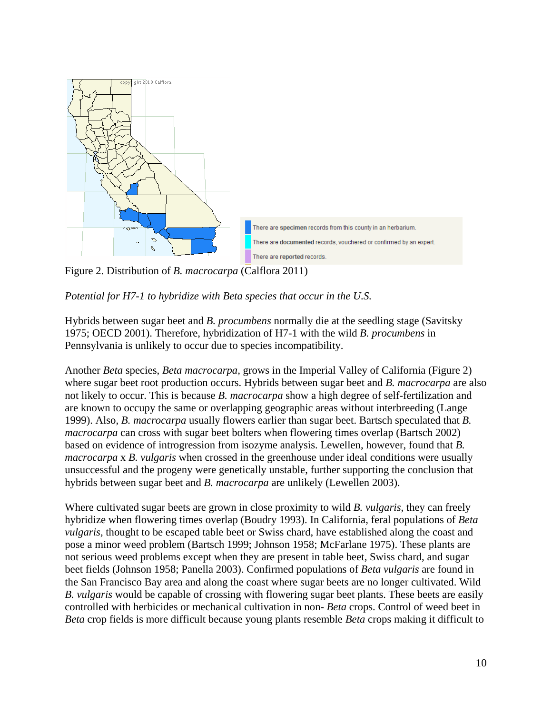

*Potential for H7-1 to hybridize with Beta species that occur in the U.S.* 

Hybrids between sugar beet and *B. procumbens* normally die at the seedling stage (Savitsky 1975; OECD 2001). Therefore, hybridization of H7-1 with the wild *B. procumbens* in Pennsylvania is unlikely to occur due to species incompatibility.

Another *Beta* species, *Beta macrocarpa,* grows in the Imperial Valley of California (Figure 2) where sugar beet root production occurs. Hybrids between sugar beet and *B. macrocarpa* are also not likely to occur. This is because *B. macrocarpa* show a high degree of self-fertilization and are known to occupy the same or overlapping geographic areas without interbreeding (Lange 1999). Also, *B. macrocarpa* usually flowers earlier than sugar beet. Bartsch speculated that *B. macrocarpa* can cross with sugar beet bolters when flowering times overlap (Bartsch 2002) based on evidence of introgression from isozyme analysis. Lewellen, however, found that *B. macrocarpa* x *B. vulgaris* when crossed in the greenhouse under ideal conditions were usually unsuccessful and the progeny were genetically unstable, further supporting the conclusion that hybrids between sugar beet and *B. macrocarpa* are unlikely (Lewellen 2003).

Where cultivated sugar beets are grown in close proximity to wild *B. vulgaris*, they can freely hybridize when flowering times overlap (Boudry 1993). In California, feral populations of *Beta vulgaris,* thought to be escaped table beet or Swiss chard, have established along the coast and pose a minor weed problem (Bartsch 1999; Johnson 1958; McFarlane 1975). These plants are not serious weed problems except when they are present in table beet, Swiss chard, and sugar beet fields (Johnson 1958; Panella 2003). Confirmed populations of *Beta vulgaris* are found in the San Francisco Bay area and along the coast where sugar beets are no longer cultivated. Wild *B. vulgaris* would be capable of crossing with flowering sugar beet plants. These beets are easily controlled with herbicides or mechanical cultivation in non- *Beta* crops. Control of weed beet in *Beta* crop fields is more difficult because young plants resemble *Beta* crops making it difficult to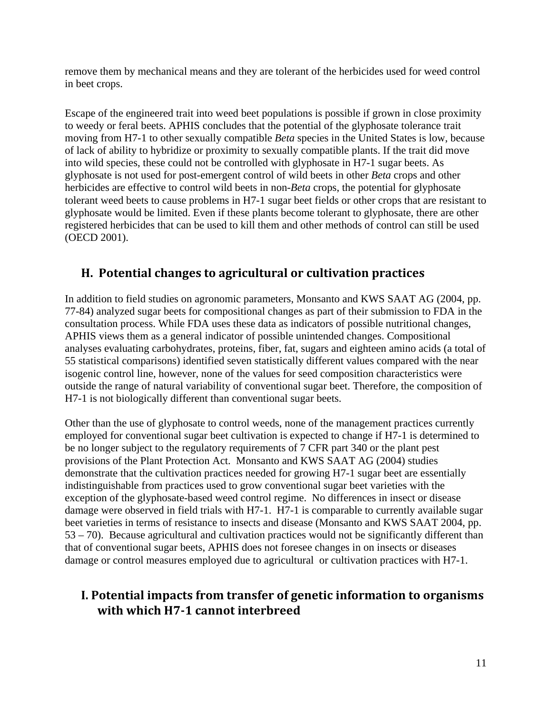remove them by mechanical means and they are tolerant of the herbicides used for weed control in beet crops.

Escape of the engineered trait into weed beet populations is possible if grown in close proximity to weedy or feral beets. APHIS concludes that the potential of the glyphosate tolerance trait moving from H7-1 to other sexually compatible *Beta* species in the United States is low, because of lack of ability to hybridize or proximity to sexually compatible plants. If the trait did move into wild species, these could not be controlled with glyphosate in H7-1 sugar beets. As glyphosate is not used for post-emergent control of wild beets in other *Beta* crops and other herbicides are effective to control wild beets in non*-Beta* crops, the potential for glyphosate tolerant weed beets to cause problems in H7-1 sugar beet fields or other crops that are resistant to glyphosate would be limited. Even if these plants become tolerant to glyphosate, there are other registered herbicides that can be used to kill them and other methods of control can still be used (OECD 2001).

## **H. Potential changes to agricultural or cultivation practices**

In addition to field studies on agronomic parameters, Monsanto and KWS SAAT AG (2004, pp. 77-84) analyzed sugar beets for compositional changes as part of their submission to FDA in the consultation process. While FDA uses these data as indicators of possible nutritional changes, APHIS views them as a general indicator of possible unintended changes. Compositional analyses evaluating carbohydrates, proteins, fiber, fat, sugars and eighteen amino acids (a total of 55 statistical comparisons) identified seven statistically different values compared with the near isogenic control line, however, none of the values for seed composition characteristics were outside the range of natural variability of conventional sugar beet. Therefore, the composition of H7-1 is not biologically different than conventional sugar beets.

Other than the use of glyphosate to control weeds, none of the management practices currently employed for conventional sugar beet cultivation is expected to change if H7-1 is determined to be no longer subject to the regulatory requirements of 7 CFR part 340 or the plant pest provisions of the Plant Protection Act. Monsanto and KWS SAAT AG (2004) studies demonstrate that the cultivation practices needed for growing H7-1 sugar beet are essentially indistinguishable from practices used to grow conventional sugar beet varieties with the exception of the glyphosate-based weed control regime. No differences in insect or disease damage were observed in field trials with H7-1. H7-1 is comparable to currently available sugar beet varieties in terms of resistance to insects and disease (Monsanto and KWS SAAT 2004, pp. 53 – 70). Because agricultural and cultivation practices would not be significantly different than that of conventional sugar beets, APHIS does not foresee changes in on insects or diseases damage or control measures employed due to agricultural or cultivation practices with H7-1.

## **I. Potential impacts from transfer of genetic information to organisms with which H7‐1 cannot interbreed**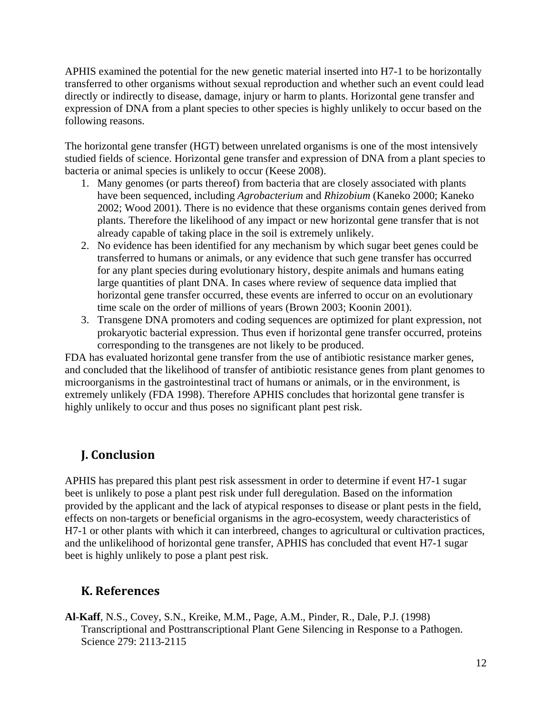APHIS examined the potential for the new genetic material inserted into H7-1 to be horizontally transferred to other organisms without sexual reproduction and whether such an event could lead directly or indirectly to disease, damage, injury or harm to plants. Horizontal gene transfer and expression of DNA from a plant species to other species is highly unlikely to occur based on the following reasons.

The horizontal gene transfer (HGT) between unrelated organisms is one of the most intensively studied fields of science. Horizontal gene transfer and expression of DNA from a plant species to bacteria or animal species is unlikely to occur (Keese 2008).

- 1. Many genomes (or parts thereof) from bacteria that are closely associated with plants have been sequenced, including *Agrobacterium* and *Rhizobium* (Kaneko 2000; Kaneko 2002; Wood 2001). There is no evidence that these organisms contain genes derived from plants. Therefore the likelihood of any impact or new horizontal gene transfer that is not already capable of taking place in the soil is extremely unlikely.
- 2. No evidence has been identified for any mechanism by which sugar beet genes could be transferred to humans or animals, or any evidence that such gene transfer has occurred for any plant species during evolutionary history, despite animals and humans eating large quantities of plant DNA. In cases where review of sequence data implied that horizontal gene transfer occurred, these events are inferred to occur on an evolutionary time scale on the order of millions of years (Brown 2003; Koonin 2001).
- 3. Transgene DNA promoters and coding sequences are optimized for plant expression, not prokaryotic bacterial expression. Thus even if horizontal gene transfer occurred, proteins corresponding to the transgenes are not likely to be produced.

FDA has evaluated horizontal gene transfer from the use of antibiotic resistance marker genes, and concluded that the likelihood of transfer of antibiotic resistance genes from plant genomes to microorganisms in the gastrointestinal tract of humans or animals, or in the environment, is extremely unlikely (FDA 1998). Therefore APHIS concludes that horizontal gene transfer is highly unlikely to occur and thus poses no significant plant pest risk.

# **J. Conclusion**

APHIS has prepared this plant pest risk assessment in order to determine if event H7-1 sugar beet is unlikely to pose a plant pest risk under full deregulation. Based on the information provided by the applicant and the lack of atypical responses to disease or plant pests in the field, effects on non-targets or beneficial organisms in the agro-ecosystem, weedy characteristics of H7-1 or other plants with which it can interbreed, changes to agricultural or cultivation practices, and the unlikelihood of horizontal gene transfer, APHIS has concluded that event H7-1 sugar beet is highly unlikely to pose a plant pest risk.

## **K. References**

**Al-Kaff**, N.S., Covey, S.N., Kreike, M.M., Page, A.M., Pinder, R., Dale, P.J. (1998) Transcriptional and Posttranscriptional Plant Gene Silencing in Response to a Pathogen. Science 279: 2113-2115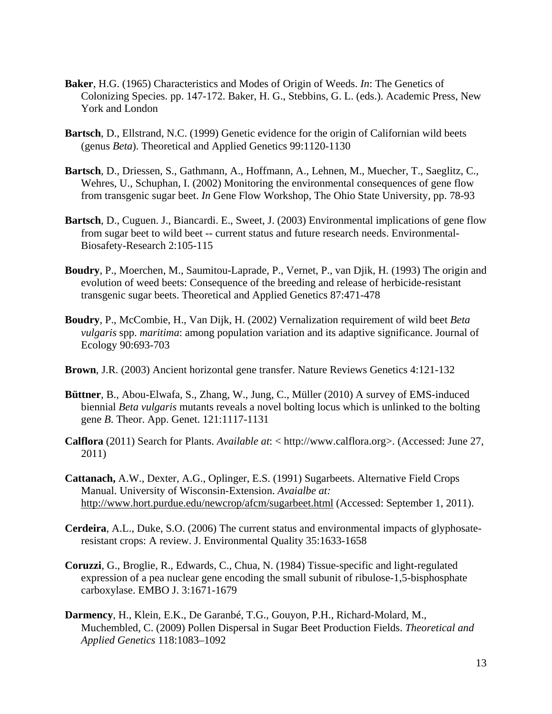- **Baker**, H.G. (1965) Characteristics and Modes of Origin of Weeds. *In*: The Genetics of Colonizing Species. pp. 147-172. Baker, H. G., Stebbins, G. L. (eds.). Academic Press, New York and London
- **Bartsch**, D., Ellstrand, N.C. (1999) Genetic evidence for the origin of Californian wild beets (genus *Beta*). Theoretical and Applied Genetics 99:1120-1130
- **Bartsch**, D., Driessen, S., Gathmann, A., Hoffmann, A., Lehnen, M., Muecher, T., Saeglitz, C., Wehres, U., Schuphan, I. (2002) Monitoring the environmental consequences of gene flow from transgenic sugar beet. *In* Gene Flow Workshop, The Ohio State University, pp. 78-93
- **Bartsch**, D., Cuguen. J., Biancardi. E., Sweet, J. (2003) Environmental implications of gene flow from sugar beet to wild beet -- current status and future research needs. Environmental-Biosafety-Research 2:105-115
- **Boudry**, P., Moerchen, M., Saumitou-Laprade, P., Vernet, P., van Djik, H. (1993) The origin and evolution of weed beets: Consequence of the breeding and release of herbicide-resistant transgenic sugar beets. Theoretical and Applied Genetics 87:471-478
- **Boudry**, P., McCombie, H., Van Dijk, H. (2002) Vernalization requirement of wild beet *Beta vulgaris* spp. *maritima*: among population variation and its adaptive significance. Journal of Ecology 90:693-703
- **Brown**, J.R. (2003) Ancient horizontal gene transfer. Nature Reviews Genetics 4:121-132
- **Büttner**, B., Abou-Elwafa, S., Zhang, W., Jung, C., Müller (2010) A survey of EMS-induced biennial *Beta vulgaris* mutants reveals a novel bolting locus which is unlinked to the bolting gene *B*. Theor. App. Genet. 121:1117-1131
- **Calflora** (2011) Search for Plants. *Available at*: < http://www.calflora.org>. (Accessed: June 27, 2011)
- **Cattanach,** A.W., Dexter, A.G., Oplinger, E.S. (1991) Sugarbeets. Alternative Field Crops Manual. University of Wisconsin-Extension. *Avaialbe at:* http://www.hort.purdue.edu/newcrop/afcm/sugarbeet.html (Accessed: September 1, 2011).
- **Cerdeira**, A.L., Duke, S.O. (2006) The current status and environmental impacts of glyphosateresistant crops: A review. J. Environmental Quality 35:1633-1658
- **Coruzzi**, G., Broglie, R., Edwards, C., Chua, N. (1984) Tissue-specific and light-regulated expression of a pea nuclear gene encoding the small subunit of ribulose-1,5-bisphosphate carboxylase. EMBO J. 3:1671-1679
- **Darmency**, H., Klein, E.K., De Garanbé, T.G., Gouyon, P.H., Richard-Molard, M., Muchembled, C. (2009) Pollen Dispersal in Sugar Beet Production Fields. *Theoretical and Applied Genetics* 118:1083–1092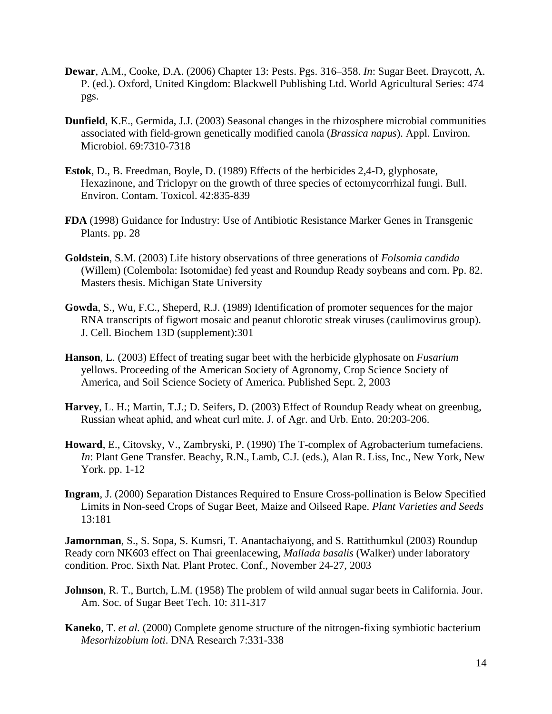- **Dewar**, A.M., Cooke, D.A. (2006) Chapter 13: Pests. Pgs. 316–358. *In*: Sugar Beet. Draycott, A. P. (ed.). Oxford, United Kingdom: Blackwell Publishing Ltd. World Agricultural Series: 474 pgs.
- **Dunfield**, K.E., Germida, J.J. (2003) Seasonal changes in the rhizosphere microbial communities associated with field-grown genetically modified canola (*Brassica napus*). Appl. Environ. Microbiol. 69:7310-7318
- **Estok**, D., B. Freedman, Boyle, D. (1989) Effects of the herbicides 2,4-D, glyphosate, Hexazinone, and Triclopyr on the growth of three species of ectomycorrhizal fungi. Bull. Environ. Contam. Toxicol. 42:835-839
- **FDA** (1998) Guidance for Industry: Use of Antibiotic Resistance Marker Genes in Transgenic Plants. pp. 28
- **Goldstein**, S.M. (2003) Life history observations of three generations of *Folsomia candida*  (Willem) (Colembola: Isotomidae) fed yeast and Roundup Ready soybeans and corn. Pp. 82. Masters thesis. Michigan State University
- **Gowda**, S., Wu, F.C., Sheperd, R.J. (1989) Identification of promoter sequences for the major RNA transcripts of figwort mosaic and peanut chlorotic streak viruses (caulimovirus group). J. Cell. Biochem 13D (supplement):301
- **Hanson**, L. (2003) Effect of treating sugar beet with the herbicide glyphosate on *Fusarium* yellows. Proceeding of the American Society of Agronomy, Crop Science Society of America, and Soil Science Society of America. Published Sept. 2, 2003
- **Harvey**, L. H.; Martin, T.J.; D. Seifers, D. (2003) Effect of Roundup Ready wheat on greenbug, Russian wheat aphid, and wheat curl mite. J. of Agr. and Urb. Ento. 20:203-206.
- **Howard**, E., Citovsky, V., Zambryski, P. (1990) The T-complex of Agrobacterium tumefaciens. *In*: Plant Gene Transfer. Beachy, R.N., Lamb, C.J. (eds.), Alan R. Liss, Inc., New York, New York. pp. 1-12
- **Ingram**, J. (2000) Separation Distances Required to Ensure Cross-pollination is Below Specified Limits in Non-seed Crops of Sugar Beet, Maize and Oilseed Rape. *Plant Varieties and Seeds* 13:181

**Jamornman**, S., S. Sopa, S. Kumsri, T. Anantachaiyong, and S. Rattithumkul (2003) Roundup Ready corn NK603 effect on Thai greenlacewing, *Mallada basalis* (Walker) under laboratory condition. Proc. Sixth Nat. Plant Protec. Conf., November 24-27, 2003

- **Johnson**, R. T., Burtch, L.M. (1958) The problem of wild annual sugar beets in California. Jour. Am. Soc. of Sugar Beet Tech. 10: 311-317
- **Kaneko**, T. *et al.* (2000) Complete genome structure of the nitrogen-fixing symbiotic bacterium *Mesorhizobium loti*. DNA Research 7:331-338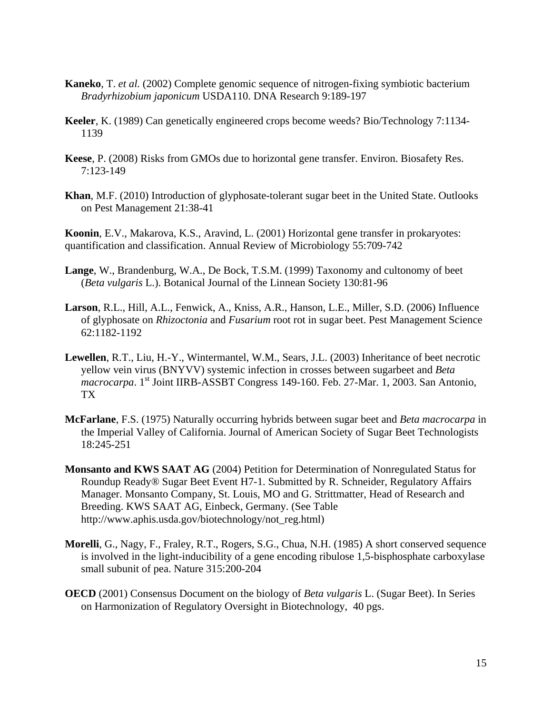- **Kaneko**, T. *et al.* (2002) Complete genomic sequence of nitrogen-fixing symbiotic bacterium *Bradyrhizobium japonicum* USDA110. DNA Research 9:189-197
- **Keeler**, K. (1989) Can genetically engineered crops become weeds? Bio/Technology 7:1134- 1139
- **Keese**, P. (2008) Risks from GMOs due to horizontal gene transfer. Environ. Biosafety Res. 7:123-149
- **Khan**, M.F. (2010) Introduction of glyphosate-tolerant sugar beet in the United State. Outlooks on Pest Management 21:38-41

**Koonin**, E.V., Makarova, K.S., Aravind, L. (2001) Horizontal gene transfer in prokaryotes: quantification and classification. Annual Review of Microbiology 55:709-742

- **Lange**, W., Brandenburg, W.A., De Bock, T.S.M. (1999) Taxonomy and cultonomy of beet (*Beta vulgaris* L.). Botanical Journal of the Linnean Society 130:81-96
- **Larson**, R.L., Hill, A.L., Fenwick, A., Kniss, A.R., Hanson, L.E., Miller, S.D. (2006) Influence of glyphosate on *Rhizoctonia* and *Fusarium* root rot in sugar beet. Pest Management Science 62:1182-1192
- **Lewellen**, R.T., Liu, H.-Y., Wintermantel, W.M., Sears, J.L. (2003) Inheritance of beet necrotic yellow vein virus (BNYVV) systemic infection in crosses between sugarbeet and *Beta macrocarpa*. 1<sup>st</sup> Joint IIRB-ASSBT Congress 149-160. Feb. 27-Mar. 1, 2003. San Antonio, TX
- **McFarlane**, F.S. (1975) Naturally occurring hybrids between sugar beet and *Beta macrocarpa* in the Imperial Valley of California. Journal of American Society of Sugar Beet Technologists 18:245-251
- **Monsanto and KWS SAAT AG** (2004) Petition for Determination of Nonregulated Status for Roundup Ready® Sugar Beet Event H7-1. Submitted by R. Schneider, Regulatory Affairs Manager. Monsanto Company, St. Louis, MO and G. Strittmatter, Head of Research and Breeding. KWS SAAT AG, Einbeck, Germany. (See Table http://www.aphis.usda.gov/biotechnology/not\_reg.html)
- **Morelli**, G., Nagy, F., Fraley, R.T., Rogers, S.G., Chua, N.H. (1985) A short conserved sequence is involved in the light-inducibility of a gene encoding ribulose 1,5-bisphosphate carboxylase small subunit of pea. Nature 315:200-204
- **OECD** (2001) Consensus Document on the biology of *Beta vulgaris* L. (Sugar Beet). In Series on Harmonization of Regulatory Oversight in Biotechnology, 40 pgs.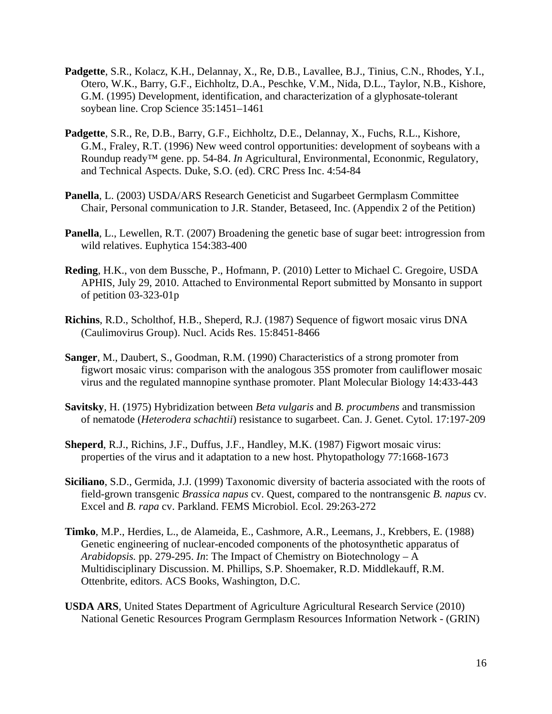- **Padgette**, S.R., Kolacz, K.H., Delannay, X., Re, D.B., Lavallee, B.J., Tinius, C.N., Rhodes, Y.I., Otero, W.K., Barry, G.F., Eichholtz, D.A., Peschke, V.M., Nida, D.L., Taylor, N.B., Kishore, G.M. (1995) Development, identification, and characterization of a glyphosate-tolerant soybean line. Crop Science 35:1451–1461
- **Padgette**, S.R., Re, D.B., Barry, G.F., Eichholtz, D.E., Delannay, X., Fuchs, R.L., Kishore, G.M., Fraley, R.T. (1996) New weed control opportunities: development of soybeans with a Roundup ready™ gene. pp. 54-84. *In* Agricultural, Environmental, Econonmic, Regulatory, and Technical Aspects. Duke, S.O. (ed). CRC Press Inc. 4:54-84
- **Panella**, L. (2003) USDA/ARS Research Geneticist and Sugarbeet Germplasm Committee Chair, Personal communication to J.R. Stander, Betaseed, Inc. (Appendix 2 of the Petition)
- **Panella**, L., Lewellen, R.T. (2007) Broadening the genetic base of sugar beet: introgression from wild relatives. Euphytica 154:383-400
- **Reding**, H.K., von dem Bussche, P., Hofmann, P. (2010) Letter to Michael C. Gregoire, USDA APHIS, July 29, 2010. Attached to Environmental Report submitted by Monsanto in support of petition 03-323-01p
- **Richins**, R.D., Scholthof, H.B., Sheperd, R.J. (1987) Sequence of figwort mosaic virus DNA (Caulimovirus Group). Nucl. Acids Res. 15:8451-8466
- **Sanger**, M., Daubert, S., Goodman, R.M. (1990) Characteristics of a strong promoter from figwort mosaic virus: comparison with the analogous 35S promoter from cauliflower mosaic virus and the regulated mannopine synthase promoter. Plant Molecular Biology 14:433-443
- **Savitsky**, H. (1975) Hybridization between *Beta vulgaris* and *B. procumbens* and transmission of nematode (*Heterodera schachtii*) resistance to sugarbeet. Can. J. Genet. Cytol. 17:197-209
- **Sheperd**, R.J., Richins, J.F., Duffus, J.F., Handley, M.K. (1987) Figwort mosaic virus: properties of the virus and it adaptation to a new host. Phytopathology 77:1668-1673
- **Siciliano**, S.D., Germida, J.J. (1999) Taxonomic diversity of bacteria associated with the roots of field-grown transgenic *Brassica napus* cv. Quest, compared to the nontransgenic *B. napus* cv. Excel and *B. rapa* cv. Parkland. FEMS Microbiol. Ecol. 29:263-272
- **Timko**, M.P., Herdies, L., de Alameida, E., Cashmore, A.R., Leemans, J., Krebbers, E. (1988) Genetic engineering of nuclear-encoded components of the photosynthetic apparatus of *Arabidopsis.* pp. 279-295. *In*: The Impact of Chemistry on Biotechnology – A Multidisciplinary Discussion. M. Phillips, S.P. Shoemaker, R.D. Middlekauff, R.M. Ottenbrite, editors. ACS Books, Washington, D.C.
- **USDA ARS**, United States Department of Agriculture Agricultural Research Service (2010) National Genetic Resources Program Germplasm Resources Information Network - (GRIN)